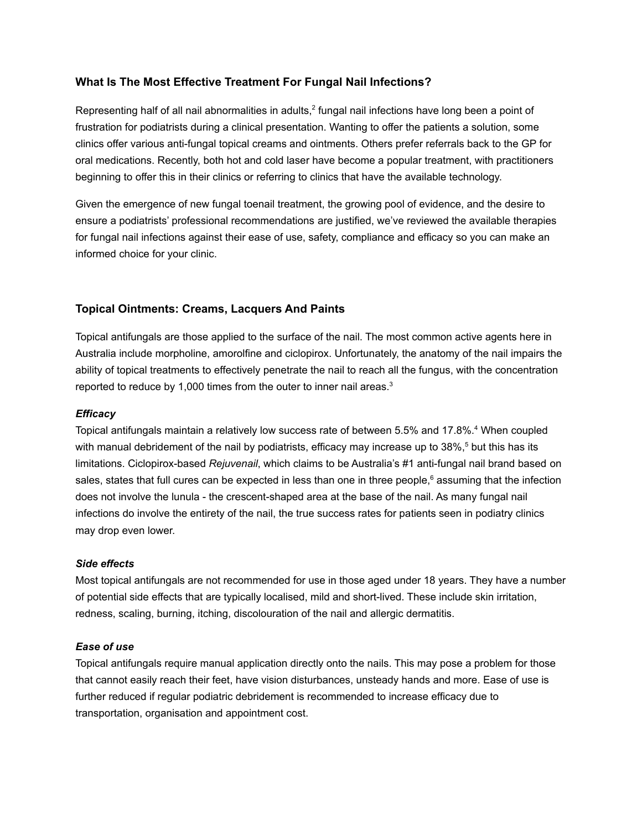# **What Is The Most Effective Treatment For Fungal Nail Infections?**

Representing half of all nail abnormalities in adults,<sup>2</sup> fungal nail infections have long been a point of frustration for podiatrists during a clinical presentation. Wanting to offer the patients a solution, some clinics offer various anti-fungal topical creams and ointments. Others prefer referrals back to the GP for oral medications. Recently, both hot and cold laser have become a popular treatment, with practitioners beginning to offer this in their clinics or referring to clinics that have the available technology.

Given the emergence of new fungal toenail treatment, the growing pool of evidence, and the desire to ensure a podiatrists' professional recommendations are justified, we've reviewed the available therapies for fungal nail infections against their ease of use, safety, compliance and efficacy so you can make an informed choice for your clinic.

# **Topical Ointments: Creams, Lacquers And Paints**

Topical antifungals are those applied to the surface of the nail. The most common active agents here in Australia include morpholine, amorolfine and ciclopirox. Unfortunately, the anatomy of the nail impairs the ability of topical treatments to effectively penetrate the nail to reach all the fungus, with the concentration reported to reduce by 1,000 times from the outer to inner nail areas. $3$ 

### *Efficacy*

Topical antifungals maintain a relatively low success rate of between 5.5% and 17.8%. <sup>4</sup> When coupled with manual debridement of the nail by podiatrists, efficacy may increase up to 38%,<sup>5</sup> but this has its limitations. Ciclopirox-based *Rejuvenail*, which claims to be Australia's #1 anti-fungal nail brand based on sales, states that full cures can be expected in less than one in three people,<sup>6</sup> assuming that the infection does not involve the lunula - the crescent-shaped area at the base of the nail. As many fungal nail infections do involve the entirety of the nail, the true success rates for patients seen in podiatry clinics may drop even lower.

#### *Side effects*

Most topical antifungals are not recommended for use in those aged under 18 years. They have a number of potential side effects that are typically localised, mild and short-lived. These include skin irritation, redness, scaling, burning, itching, discolouration of the nail and allergic dermatitis.

# *Ease of use*

Topical antifungals require manual application directly onto the nails. This may pose a problem for those that cannot easily reach their feet, have vision disturbances, unsteady hands and more. Ease of use is further reduced if regular podiatric debridement is recommended to increase efficacy due to transportation, organisation and appointment cost.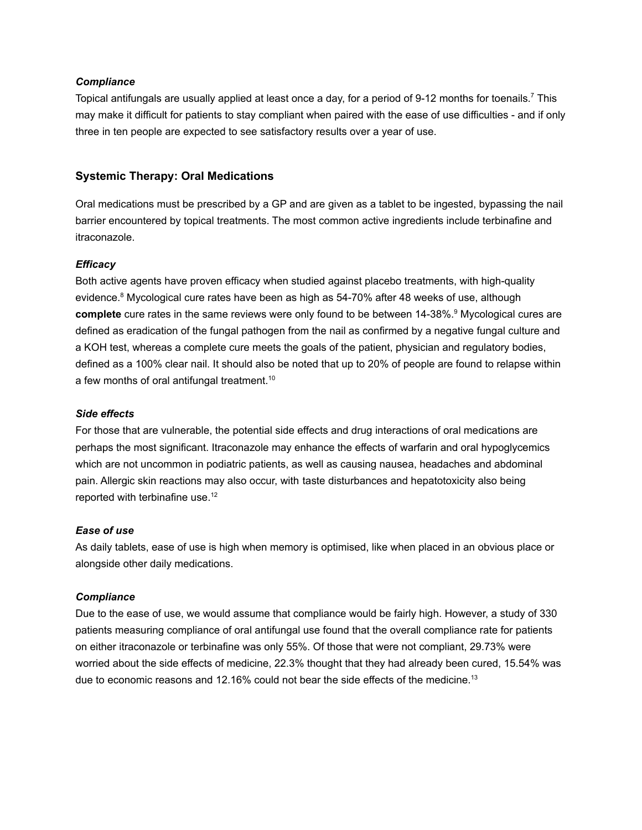### *Compliance*

Topical antifungals are usually applied at least once a day, for a period of 9-12 months for toenails.<sup>7</sup> This may make it difficult for patients to stay compliant when paired with the ease of use difficulties - and if only three in ten people are expected to see satisfactory results over a year of use.

# **Systemic Therapy: Oral Medications**

Oral medications must be prescribed by a GP and are given as a tablet to be ingested, bypassing the nail barrier encountered by topical treatments. The most common active ingredients include terbinafine and itraconazole.

# *Efficacy*

Both active agents have proven efficacy when studied against placebo treatments, with high-quality evidence.<sup>8</sup> Mycological cure rates have been as high as 54-70% after 48 weeks of use, although **complete** cure rates in the same reviews were only found to be between 14-38%. <sup>9</sup> Mycological cures are defined as eradication of the fungal pathogen from the nail as confirmed by a negative fungal culture and a KOH test, whereas a complete cure meets the goals of the patient, physician and regulatory bodies, defined as a 100% clear nail. It should also be noted that up to 20% of people are found to relapse within a few months of oral antifungal treatment. 10

### *Side effects*

For those that are vulnerable, the potential side effects and drug interactions of oral medications are perhaps the most significant. Itraconazole may enhance the effects of warfarin and oral hypoglycemics which are not uncommon in podiatric patients, as well as causing nausea, headaches and abdominal pain. Allergic skin reactions may also occur, with taste disturbances and hepatotoxicity also being reported with terbinafine use.<sup>12</sup>

#### *Ease of use*

As daily tablets, ease of use is high when memory is optimised, like when placed in an obvious place or alongside other daily medications.

# *Compliance*

Due to the ease of use, we would assume that compliance would be fairly high. However, a study of 330 patients measuring compliance of oral antifungal use found that the overall compliance rate for patients on either itraconazole or terbinafine was only 55%. Of those that were not compliant, 29.73% were worried about the side effects of medicine, 22.3% thought that they had already been cured, 15.54% was due to economic reasons and 12.16% could not bear the side effects of the medicine.<sup>13</sup>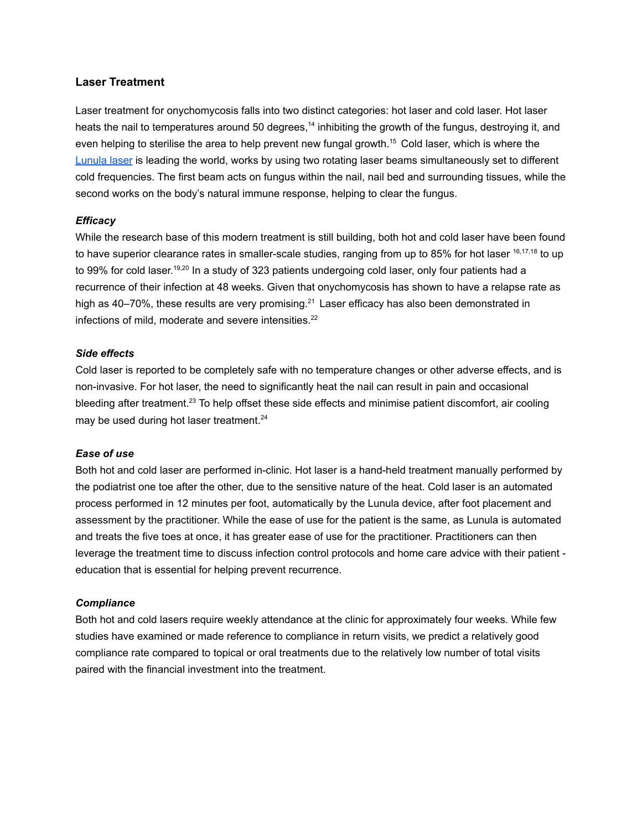### **Laser Treatment**

Laser treatment for onychomycosis falls into two distinct categories: hot laser and cold laser. Hot laser heats the nail to temperatures around 50 degrees,<sup>14</sup> inhibiting the growth of the fungus, destroying it, and even helping to sterilise the area to help prevent new fungal growth.<sup>15</sup> Cold laser, which is where the [Lunula](https://www.rehacare.com.au/lunula-laser-2/) laser is leading the world, works by using two rotating laser beams simultaneously set to different cold frequencies. The first beam acts on fungus within the nail, nail bed and surrounding tissues, while the second works on the body's natural immune response, helping to clear the fungus.

### *Efficacy*

While the research base of this modern treatment is still building, both hot and cold laser have been found to have superior clearance rates in smaller-scale studies, ranging from up to 85% for hot laser <sup>16,17,18</sup> to up to 99% for cold laser.<sup>19,20</sup> In a study of 323 patients undergoing cold laser, only four patients had a recurrence of their infection at 48 weeks. Given that onychomycosis has shown to have a relapse rate as high as 40–70%, these results are very promising.<sup>21</sup> Laser efficacy has also been demonstrated in infections of mild, moderate and severe intensities. 22

#### *Side effects*

Cold laser is reported to be completely safe with no temperature changes or other adverse effects, and is non-invasive. For hot laser, the need to significantly heat the nail can result in pain and occasional bleeding after treatment.<sup>23</sup> To help offset these side effects and minimise patient discomfort, air cooling may be used during hot laser treatment.<sup>24</sup>

#### *Ease of use*

Both hot and cold laser are performed in-clinic. Hot laser is a hand-held treatment manually performed by the podiatrist one toe after the other, due to the sensitive nature of the heat. Cold laser is an automated process performed in 12 minutes per foot, automatically by the Lunula device, after foot placement and assessment by the practitioner. While the ease of use for the patient is the same, as Lunula is automated and treats the five toes at once, it has greater ease of use for the practitioner. Practitioners can then leverage the treatment time to discuss infection control protocols and home care advice with their patient education that is essential for helping prevent recurrence.

#### *Compliance*

Both hot and cold lasers require weekly attendance at the clinic for approximately four weeks. While few studies have examined or made reference to compliance in return visits, we predict a relatively good compliance rate compared to topical or oral treatments due to the relatively low number of total visits paired with the financial investment into the treatment.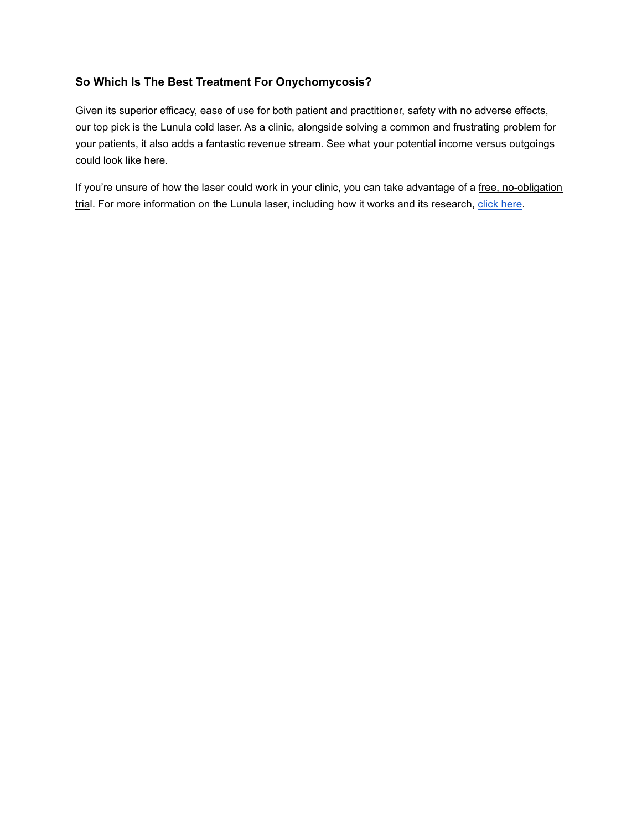# **So Which Is The Best Treatment For Onychomycosis?**

Given its superior efficacy, ease of use for both patient and practitioner, safety with no adverse effects, our top pick is the Lunula cold laser. As a clinic, alongside solving a common and frustrating problem for your patients, it also adds a fantastic revenue stream. See what your potential income versus outgoings could look like here.

If you're unsure of how the laser could work in your clinic, you can take advantage of a free, no-obligation trial. For more information on the Lunula laser, including how it works and its research, click [here](https://www.rehacare.com.au/lunula-laser-2/).